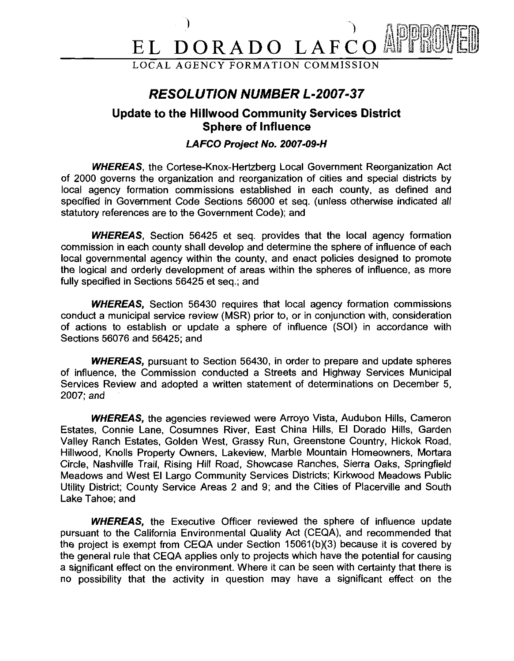# ) and  $\int$  reflecting  $\int$  reflecting  $\int$  reflecting  $\int$  reflecting  $\int$  reflecting  $\int$  reflecting  $\int$  reflecting  $\int$  reflecting  $\int$  reflecting  $\int$  reflecting  $\int$  reflecting  $\int$  reflecting  $\int$  reflecting  $\int$  re EL DORADO LAFCO

## **RESOLUTION NUMBER L-2007-37**

## **Update to the Hillwood Community Services District Sphere of Influence**

### **LAFCO Project No. 2007-09-H**

**WHEREAS,** the Cortese-Knox-Hertzberg Local Government Reorganization Act of 2000 governs the organization and reorganization of cities and special districts by local agency formation commissions established in each county, as defined and specified in Government Code Sections 56000 et seq. (unless otherwise indicated all statutory references are to the Government Code); and

**WHEREAS,** Section 56425 et seq. provides that the local agency formation commission in each county shall develop and determine the sphere of influence of each local governmental agency within the county, and enact policies designed to promote the logical and orderly development of areas within the spheres of influence, as more fully specified in Sections 56425 et seq.; and

**WHEREAS,** Section 56430 requires that local agency formation commissions conduct a municipal service review (MSR) prior to, or in conjunction with, consideration of actions to establish or update a sphere of influence (SOI) in accordance with Sections 56076 and 56425; and

**WHEREAS,** pursuant to Section 56430, in order to prepare and update spheres of influence, the Commission conducted a Streets and Highway Services Municipal Services Review and adopted a written statement of determinations on December 5, 2007; and

**WHEREAS,** the agencies reviewed were Arroyo Vista, Audubon Hills, Cameron Estates, Connie Lane, Cosumnes River, East China Hills, El Dorado Hills, Garden Valley Ranch Estates, Golden West, Grassy Run, Greenstone Country, Hickok Road, Hillwood, Knolls Property Owners, Lakeview, Marble Mountain Homeowners, Mortara Circle, Nashville Trail, Rising Hill Road, Showcase Ranches, Sierra Oaks, Springfield Meadows and West El Largo Community Services Districts; Kirkwood Meadows Public Utility District; County Service Areas 2 and 9; and the Cities of Placerville and South Lake Tahoe; and

**WHEREAS,** the Executive Officer reviewed the sphere of influence update pursuant to the California Environmental Quality Act (CEQA), and recommended that the project is exempt from CEQA under Section 15061(b)(3) because it is covered by the general rule that CEQA applies only to projects which have the potential for causing a significant effect on the environment. Where it can be seen with certainty that there is no possibility that the activity in question may have a significant effect on the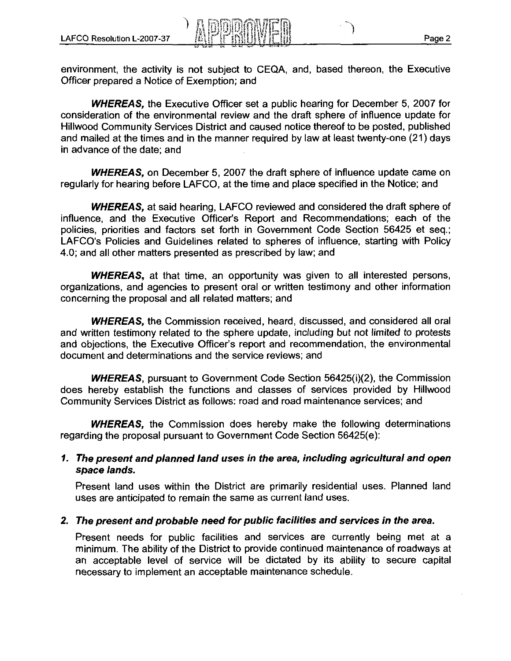-1

environment, the activity is not subject to CEQA, and, based thereon, the Executive Officer prepared a Notice of Exemption; and

**WHEREAS,** the Executive Officer set a public hearing for December 5, 2007 for consideration of the environmental review and the draft sphere of influence update for Hillwood Community Services District and caused notice thereof to be posted, published and mailed at the times and in the manner required by law at least twenty-one (21) days in advance of the date; and

**WHEREAS,** on December 5, 2007 the draft sphere of influence update came on regularly for hearing before LAFCO, at the time and place specified in the Notice; and

**WHEREAS,** at said hearing, LAFCO reviewed and considered the draft sphere of influence, and the Executive Officer's Report and Recommendations; each of the policies, priorities and factors set forth in Government Code Section 56425 et seq.; LAFCO's Policies and Guidelines related to spheres of influence, starting with Policy 4.0; and all other matters presented as prescribed by law; and

**WHEREAS,** at that time, an opportunity was given to all interested persons, organizations, and agencies to present oral or written testimony and other information concerning the proposal and all related matters; and

**WHEREAS,** the Commission received, heard, discussed, and considered all oral and written testimony related to the sphere update, including but not limited to protests and objections, the Executive Officer's report and recommendation, the environmental document and determinations and the service reviews; and

**WHEREAS,** pursuant to Government Code Section 56425(i)(2), the Commission does hereby establish the functions and classes of services provided by Hillwood Community Services District as follows: road and road maintenance services; and

**WHEREAS,** the Commission does hereby make the following determinations regarding the proposal pursuant to Government Code Section 56425(e):

#### **1. The present and planned land uses in the area, including agricultural and open space lands.**

Present land uses within the District are primarily residential uses. Planned land uses are anticipated to remain the same as current land uses.

#### **2. The present and probable need for public facilities and services in the area.**

Present needs for public facilities and services are currently being met at a minimum. The ability of the District to provide continued maintenance of roadways at an acceptable level of service will be dictated by its ability to secure capital necessary to implement an acceptable maintenance schedule.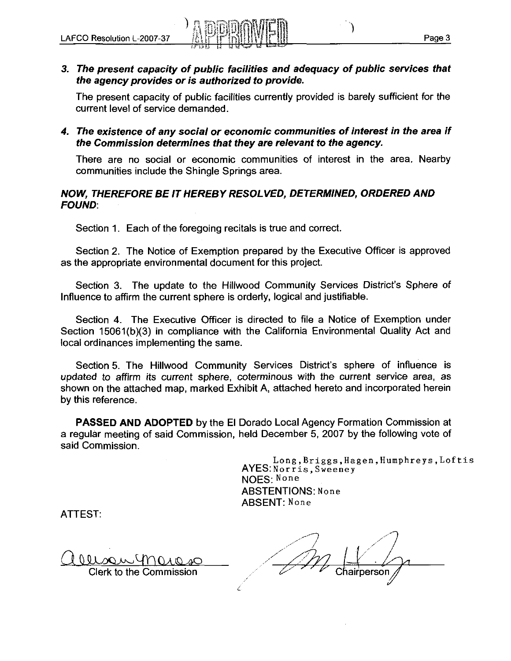#### **3. The present capacity of public facilities and adequacy of public services that the agency provides or is authorized to provide.**

The present capacity of public facilities currently provided is barely sufficient for the current level of service demanded.

**4. The existence of any social or economic communities of interest in the area if the Commission determines that they are relevant to the agency.** 

There are no social or economic communities of interest in the area. Nearby communities include the Shingle Springs area.

#### **NOW, THEREFORE BE IT HEREBY RESOLVED, DETERMINED, ORDERED AND FOUND:**

Section 1. Each of the foregoing recitals is true and correct.

Section 2. The Notice of Exemption prepared by the Executive Officer is approved as the appropriate environmental document for this project.

Section 3. The update to the Hillwood Community Services District's Sphere of Influence to affirm the current sphere is orderly, logical and justifiable.

Section **4.** The Executive Officer is directed to file a Notice of Exemption under Section 15061(b)(3) in compliance with the California Environmental Quality Act and local ordinances implementing the same.

Section 5. The Hillwood Community Services District's sphere of influence is updated to affirm its current sphere, coterminous with the current service area, as shown on the attached map, marked Exhibit A, attached hereto and incorporated herein by this reference.

**PASSED AND ADOPTED** by the El Dorado Local Agency Formation Commission at a regular meeting of said Commission, held December 5, 2007 by the following vote of said Commission.

'!

**Long,Briggs,Hagen,Humphreys,Loftis**  AYES:Norris, Sweeney NOES: None ABSTENTIONS: None ABSENT: None

ATTEST:

,<br>مر<sub>وم م</sub>ر<sub>وم</sub>  $\overline{\mathcal{A}}$ O!lL!mbuyn, ,,/' /7;v7 ,/' u.,, '. . Clerk to the Commission